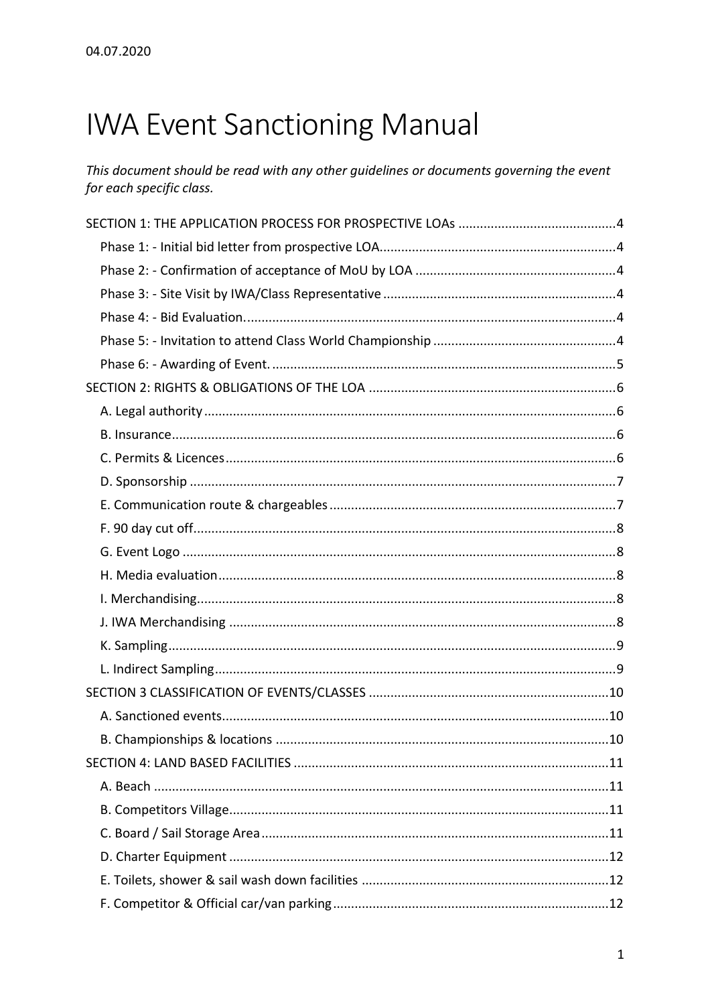# **IWA Event Sanctioning Manual**

This document should be read with any other guidelines or documents governing the event for each specific class.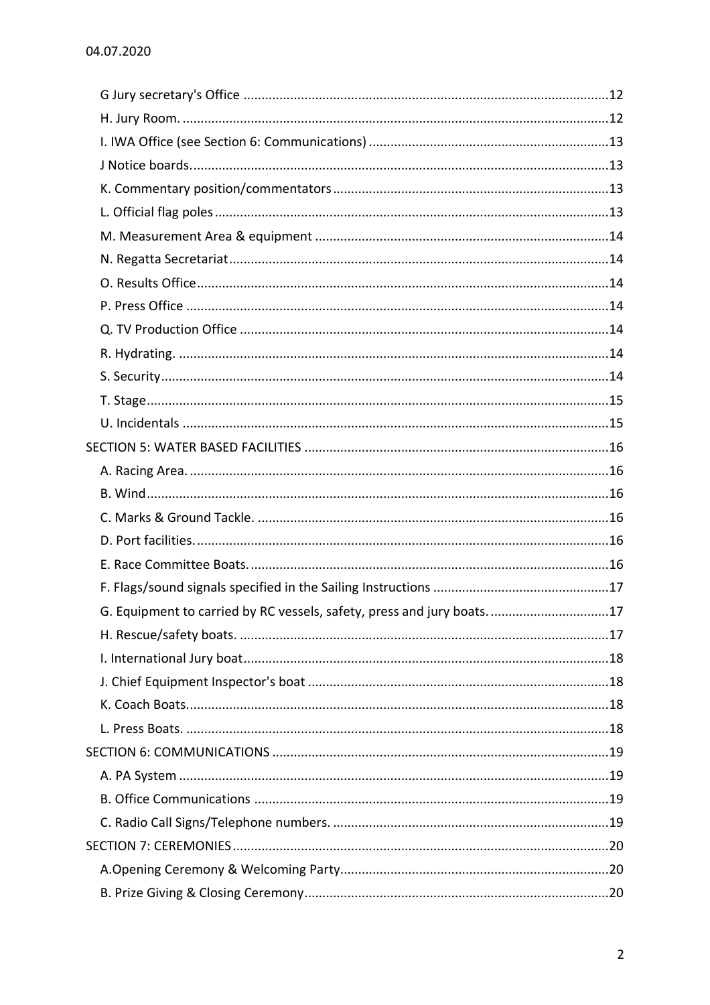| G. Equipment to carried by RC vessels, safety, press and jury boats17 |  |
|-----------------------------------------------------------------------|--|
|                                                                       |  |
|                                                                       |  |
|                                                                       |  |
|                                                                       |  |
|                                                                       |  |
|                                                                       |  |
|                                                                       |  |
|                                                                       |  |
|                                                                       |  |
|                                                                       |  |
|                                                                       |  |
|                                                                       |  |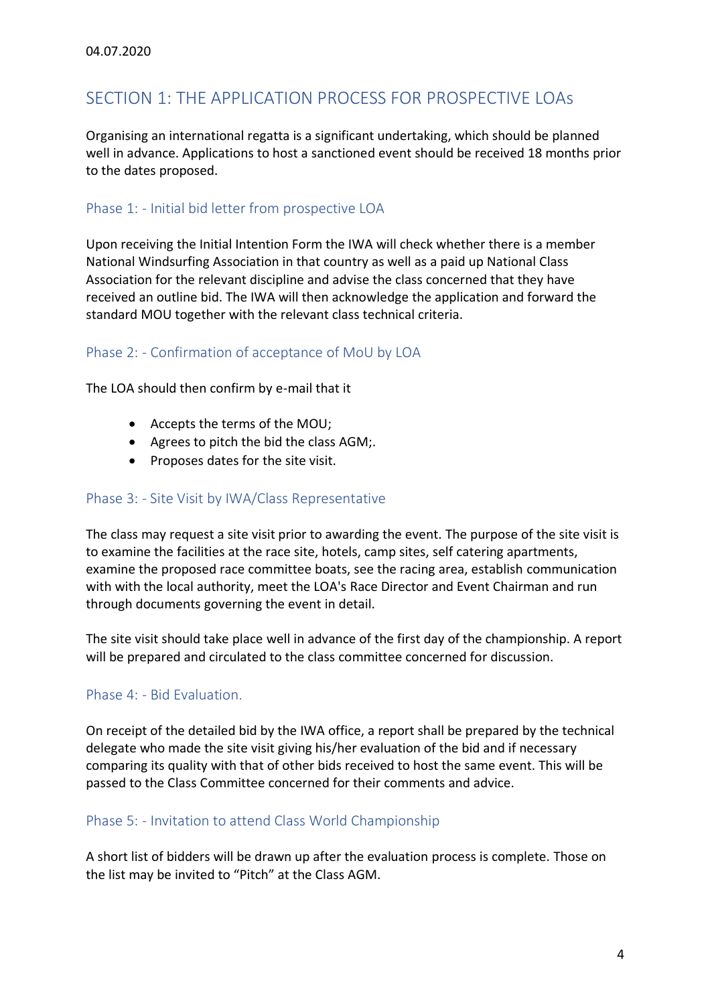# <span id="page-3-0"></span>SECTION 1: THE APPLICATION PROCESS FOR PROSPECTIVE LOAs

Organising an international regatta is a significant undertaking, which should be planned well in advance. Applications to host a sanctioned event should be received 18 months prior to the dates proposed.

# <span id="page-3-1"></span>Phase 1: - Initial bid letter from prospective LOA

Upon receiving the Initial Intention Form the IWA will check whether there is a member National Windsurfing Association in that country as well as a paid up National Class Association for the relevant discipline and advise the class concerned that they have received an outline bid. The IWA will then acknowledge the application and forward the standard MOU together with the relevant class technical criteria.

# <span id="page-3-2"></span>Phase 2: - Confirmation of acceptance of MoU by LOA

The LOA should then confirm by e-mail that it

- Accepts the terms of the MOU;
- Agrees to pitch the bid the class AGM;.
- Proposes dates for the site visit.

#### <span id="page-3-3"></span>Phase 3: - Site Visit by IWA/Class Representative

The class may request a site visit prior to awarding the event. The purpose of the site visit is to examine the facilities at the race site, hotels, camp sites, self catering apartments, examine the proposed race committee boats, see the racing area, establish communication with with the local authority, meet the LOA's Race Director and Event Chairman and run through documents governing the event in detail.

The site visit should take place well in advance of the first day of the championship. A report will be prepared and circulated to the class committee concerned for discussion.

# <span id="page-3-4"></span>Phase 4: - Bid Evaluation.

On receipt of the detailed bid by the IWA office, a report shall be prepared by the technical delegate who made the site visit giving his/her evaluation of the bid and if necessary comparing its quality with that of other bids received to host the same event. This will be passed to the Class Committee concerned for their comments and advice.

#### <span id="page-3-5"></span>Phase 5: - Invitation to attend Class World Championship

A short list of bidders will be drawn up after the evaluation process is complete. Those on the list may be invited to "Pitch" at the Class AGM.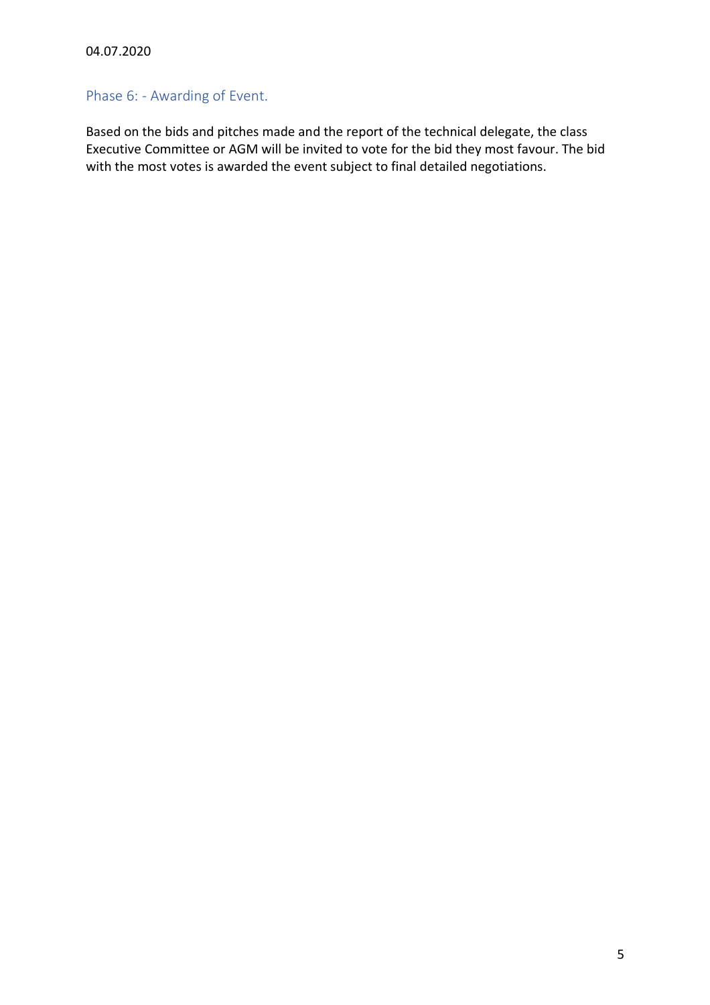# <span id="page-4-0"></span>Phase 6: - Awarding of Event.

Based on the bids and pitches made and the report of the technical delegate, the class Executive Committee or AGM will be invited to vote for the bid they most favour. The bid with the most votes is awarded the event subject to final detailed negotiations.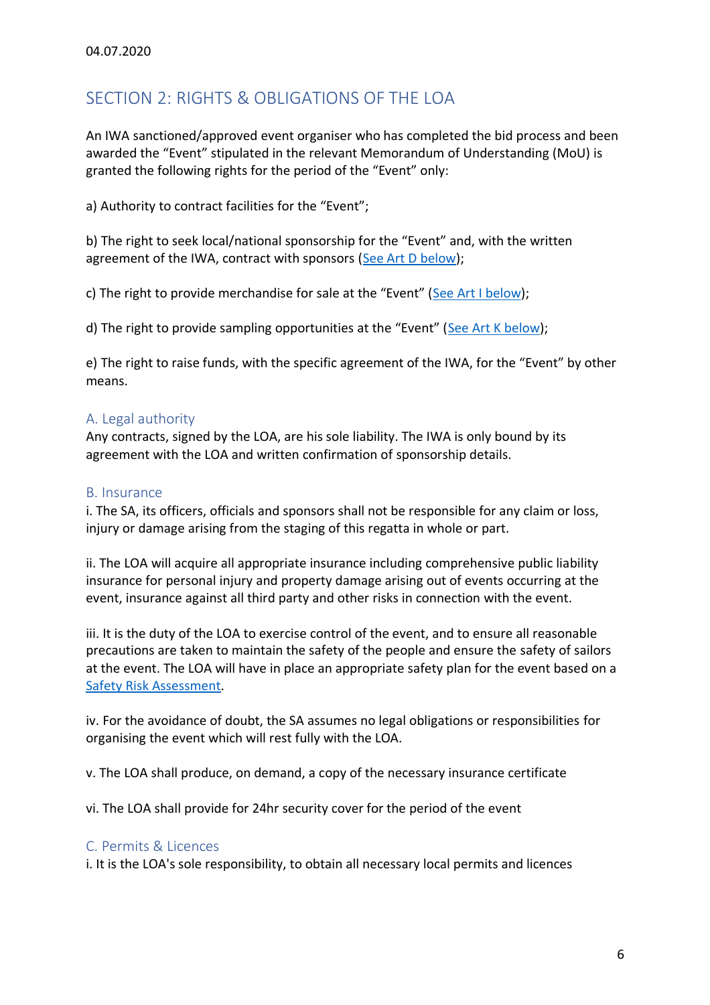# <span id="page-5-0"></span>SECTION 2: RIGHTS & OBLIGATIONS OF THE LOA

An IWA sanctioned/approved event organiser who has completed the bid process and been awarded the "Event" stipulated in the relevant Memorandum of Understanding (MoU) is granted the following rights for the period of the "Event" only:

a) Authority to contract facilities for the "Event";

b) The right to seek local/national sponsorship for the "Event" and, with the written agreement of the IWA, contract with sponsors [\(See Art D below\)](#page-6-0);

c) The right to provide merchandise for sale at the "Event" ([See Art I](#page-7-3) below);

d) The right to provide sampling opportunities at the "Event" ([See Art K](#page-8-0) below);

e) The right to raise funds, with the specific agreement of the IWA, for the "Event" by other means.

# <span id="page-5-1"></span>A. Legal authority

Any contracts, signed by the LOA, are his sole liability. The IWA is only bound by its agreement with the LOA and written confirmation of sponsorship details.

#### <span id="page-5-2"></span>B. Insurance

i. The SA, its officers, officials and sponsors shall not be responsible for any claim or loss, injury or damage arising from the staging of this regatta in whole or part.

ii. The LOA will acquire all appropriate insurance including comprehensive public liability insurance for personal injury and property damage arising out of events occurring at the event, insurance against all third party and other risks in connection with the event.

iii. It is the duty of the LOA to exercise control of the event, and to ensure all reasonable precautions are taken to maintain the safety of the people and ensure the safety of sailors at the event. The LOA will have in place an appropriate safety plan for the event based on a [Safety Risk Assessment.](#page-26-1)

iv. For the avoidance of doubt, the SA assumes no legal obligations or responsibilities for organising the event which will rest fully with the LOA.

v. The LOA shall produce, on demand, a copy of the necessary insurance certificate

vi. The LOA shall provide for 24hr security cover for the period of the event

#### <span id="page-5-3"></span>C. Permits & Licences

i. It is the LOA's sole responsibility, to obtain all necessary local permits and licences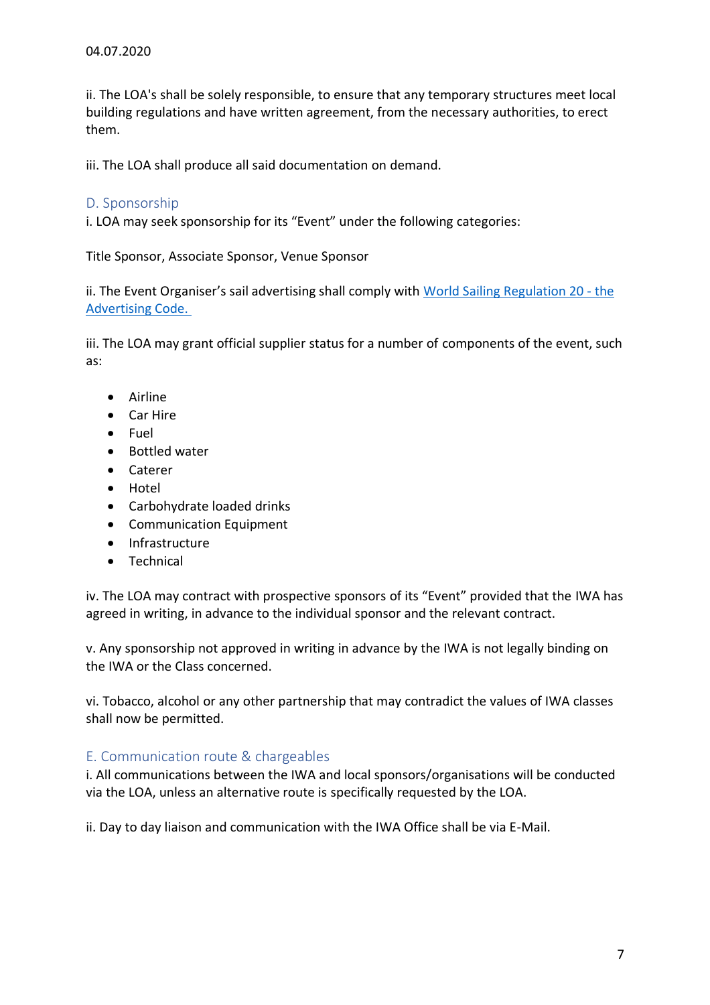ii. The LOA's shall be solely responsible, to ensure that any temporary structures meet local building regulations and have written agreement, from the necessary authorities, to erect them.

iii. The LOA shall produce all said documentation on demand.

# <span id="page-6-0"></span>D. Sponsorship

i. LOA may seek sponsorship for its "Event" under the following categories:

Title Sponsor, Associate Sponsor, Venue Sponsor

ii. The Event Organiser's sail advertising shall comply with [World Sailing Regulation 20 -](https://www.sailing.org/documents/regulations/regulations.php) the [Advertising Code.](https://www.sailing.org/documents/regulations/regulations.php)

iii. The LOA may grant official supplier status for a number of components of the event, such as:

- Airline
- Car Hire
- Fuel
- Bottled water
- Caterer
- Hotel
- Carbohydrate loaded drinks
- Communication Equipment
- Infrastructure
- Technical

iv. The LOA may contract with prospective sponsors of its "Event" provided that the IWA has agreed in writing, in advance to the individual sponsor and the relevant contract.

v. Any sponsorship not approved in writing in advance by the IWA is not legally binding on the IWA or the Class concerned.

vi. Tobacco, alcohol or any other partnership that may contradict the values of IWA classes shall now be permitted.

# <span id="page-6-1"></span>E. Communication route & chargeables

i. All communications between the IWA and local sponsors/organisations will be conducted via the LOA, unless an alternative route is specifically requested by the LOA.

ii. Day to day liaison and communication with the IWA Office shall be via E-Mail.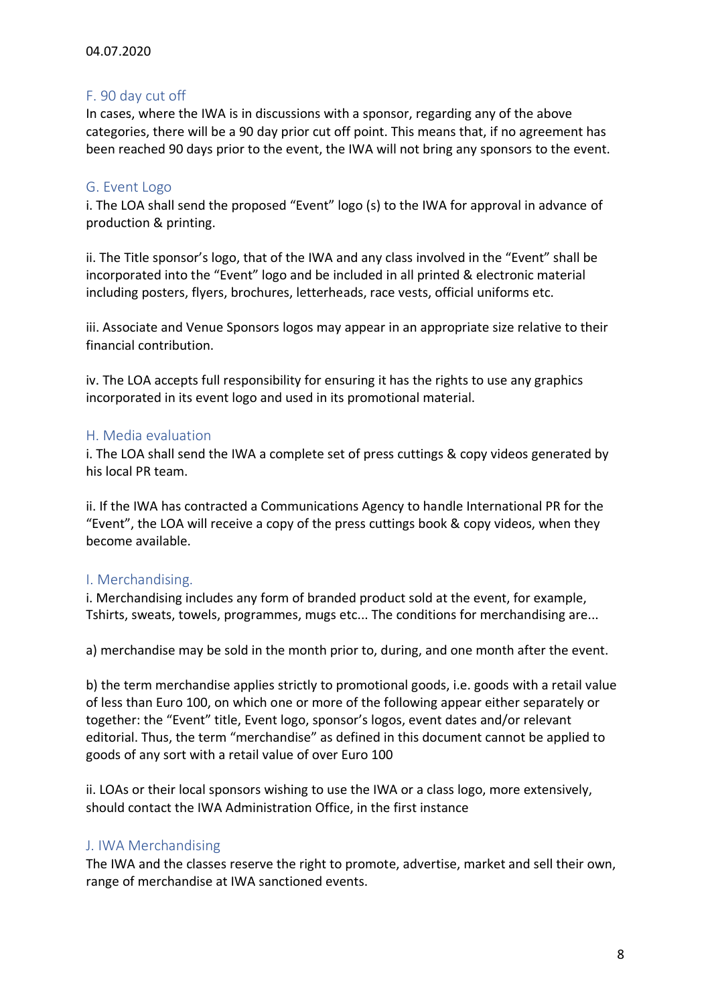# <span id="page-7-0"></span>F. 90 day cut off

In cases, where the IWA is in discussions with a sponsor, regarding any of the above categories, there will be a 90 day prior cut off point. This means that, if no agreement has been reached 90 days prior to the event, the IWA will not bring any sponsors to the event.

# <span id="page-7-1"></span>G. Event Logo

i. The LOA shall send the proposed "Event" logo (s) to the IWA for approval in advance of production & printing.

ii. The Title sponsor's logo, that of the IWA and any class involved in the "Event" shall be incorporated into the "Event" logo and be included in all printed & electronic material including posters, flyers, brochures, letterheads, race vests, official uniforms etc.

iii. Associate and Venue Sponsors logos may appear in an appropriate size relative to their financial contribution.

iv. The LOA accepts full responsibility for ensuring it has the rights to use any graphics incorporated in its event logo and used in its promotional material.

# <span id="page-7-2"></span>H. Media evaluation

i. The LOA shall send the IWA a complete set of press cuttings & copy videos generated by his local PR team.

ii. If the IWA has contracted a Communications Agency to handle International PR for the "Event", the LOA will receive a copy of the press cuttings book & copy videos, when they become available.

# <span id="page-7-3"></span>I. Merchandising.

i. Merchandising includes any form of branded product sold at the event, for example, Tshirts, sweats, towels, programmes, mugs etc... The conditions for merchandising are...

a) merchandise may be sold in the month prior to, during, and one month after the event.

b) the term merchandise applies strictly to promotional goods, i.e. goods with a retail value of less than Euro 100, on which one or more of the following appear either separately or together: the "Event" title, Event logo, sponsor's logos, event dates and/or relevant editorial. Thus, the term "merchandise" as defined in this document cannot be applied to goods of any sort with a retail value of over Euro 100

ii. LOAs or their local sponsors wishing to use the IWA or a class logo, more extensively, should contact the IWA Administration Office, in the first instance

# <span id="page-7-4"></span>J. IWA Merchandising

The IWA and the classes reserve the right to promote, advertise, market and sell their own, range of merchandise at IWA sanctioned events.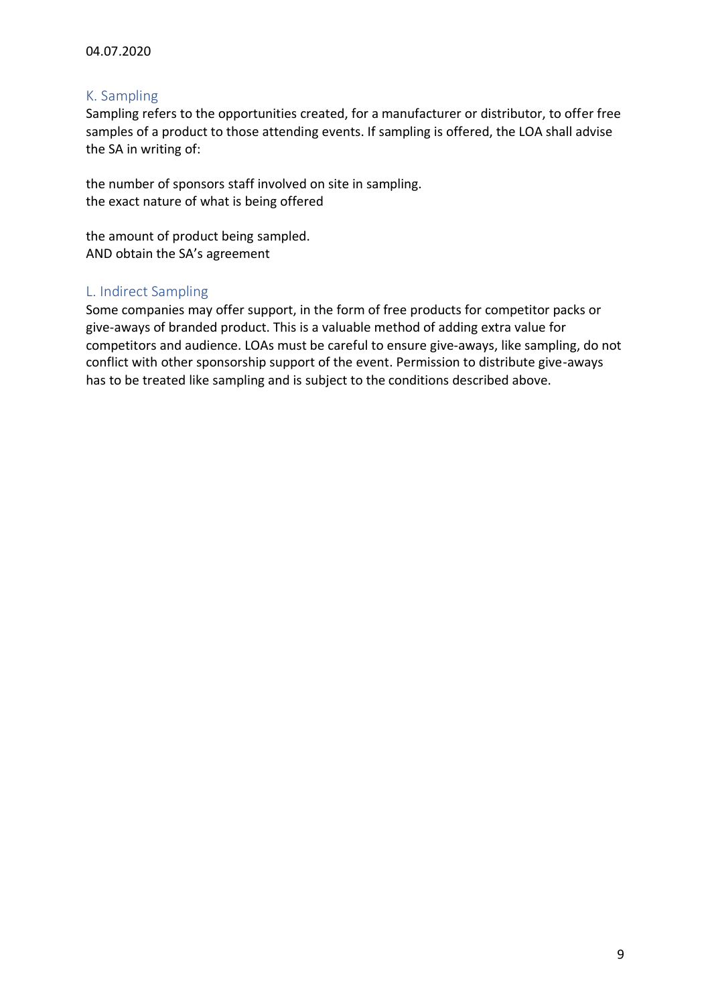# <span id="page-8-0"></span>K. Sampling

Sampling refers to the opportunities created, for a manufacturer or distributor, to offer free samples of a product to those attending events. If sampling is offered, the LOA shall advise the SA in writing of:

the number of sponsors staff involved on site in sampling. the exact nature of what is being offered

the amount of product being sampled. AND obtain the SA's agreement

# <span id="page-8-1"></span>L. Indirect Sampling

Some companies may offer support, in the form of free products for competitor packs or give-aways of branded product. This is a valuable method of adding extra value for competitors and audience. LOAs must be careful to ensure give-aways, like sampling, do not conflict with other sponsorship support of the event. Permission to distribute give-aways has to be treated like sampling and is subject to the conditions described above.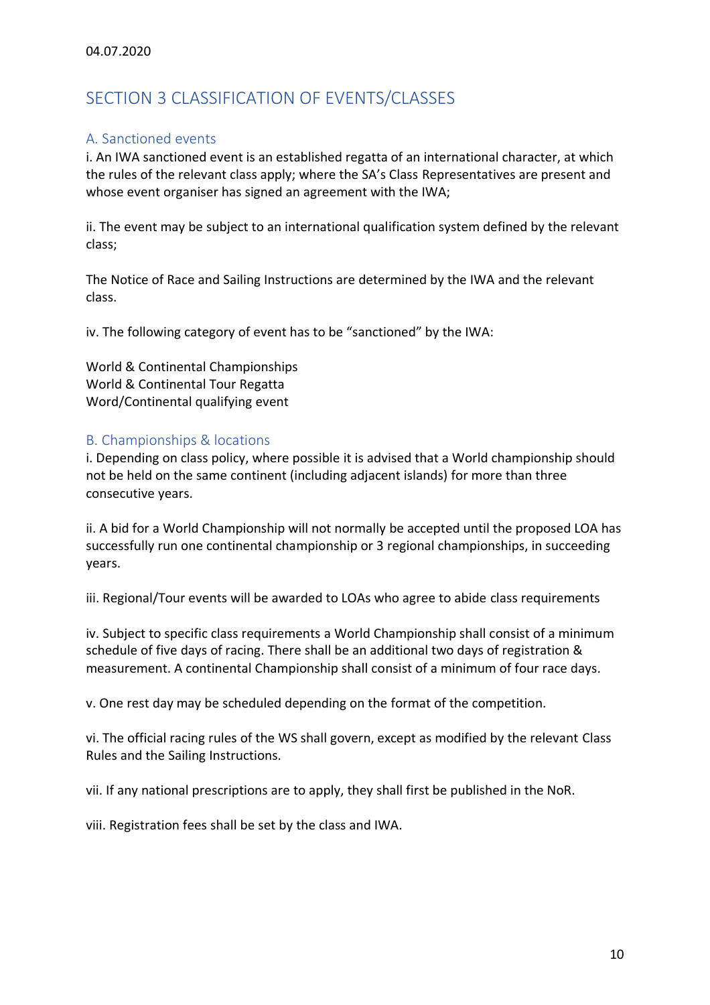# <span id="page-9-0"></span>SECTION 3 CLASSIFICATION OF EVENTS/CLASSES

# <span id="page-9-1"></span>A. Sanctioned events

i. An IWA sanctioned event is an established regatta of an international character, at which the rules of the relevant class apply; where the SA's Class Representatives are present and whose event organiser has signed an agreement with the IWA;

ii. The event may be subject to an international qualification system defined by the relevant class;

The Notice of Race and Sailing Instructions are determined by the IWA and the relevant class.

iv. The following category of event has to be "sanctioned" by the IWA:

World & Continental Championships World & Continental Tour Regatta Word/Continental qualifying event

# <span id="page-9-2"></span>B. Championships & locations

i. Depending on class policy, where possible it is advised that a World championship should not be held on the same continent (including adjacent islands) for more than three consecutive years.

ii. A bid for a World Championship will not normally be accepted until the proposed LOA has successfully run one continental championship or 3 regional championships, in succeeding years.

iii. Regional/Tour events will be awarded to LOAs who agree to abide class requirements

iv. Subject to specific class requirements a World Championship shall consist of a minimum schedule of five days of racing. There shall be an additional two days of registration & measurement. A continental Championship shall consist of a minimum of four race days.

v. One rest day may be scheduled depending on the format of the competition.

vi. The official racing rules of the WS shall govern, except as modified by the relevant Class Rules and the Sailing Instructions.

vii. If any national prescriptions are to apply, they shall first be published in the NoR.

viii. Registration fees shall be set by the class and IWA.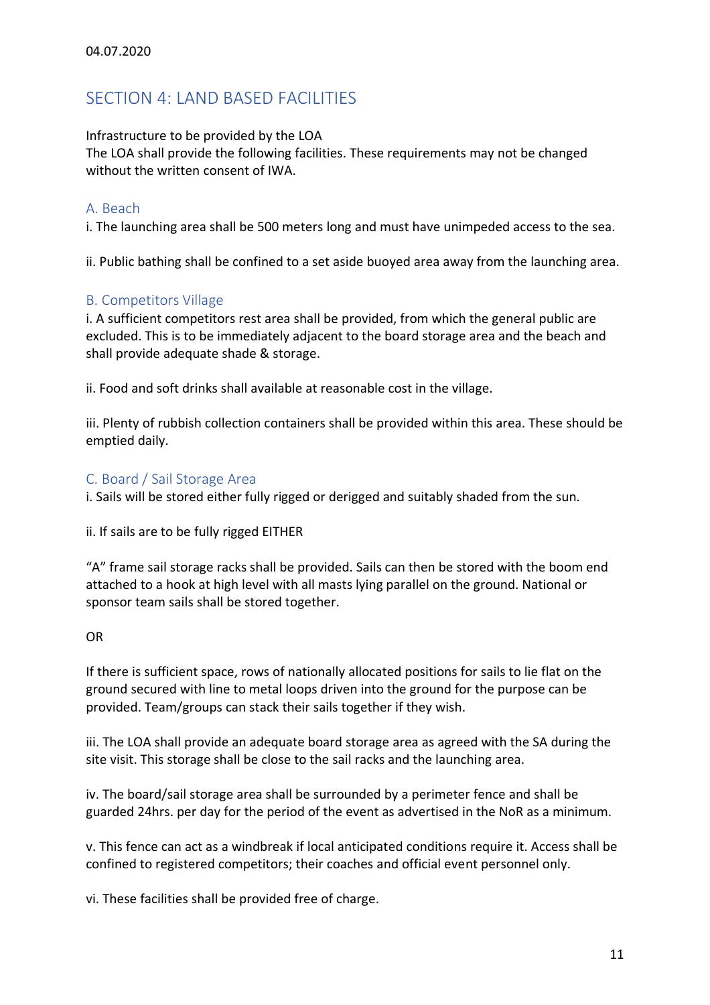# <span id="page-10-0"></span>SECTION 4: LAND BASED FACILITIES

Infrastructure to be provided by the LOA

The LOA shall provide the following facilities. These requirements may not be changed without the written consent of IWA.

# <span id="page-10-1"></span>A. Beach

i. The launching area shall be 500 meters long and must have unimpeded access to the sea.

ii. Public bathing shall be confined to a set aside buoyed area away from the launching area.

# <span id="page-10-2"></span>B. Competitors Village

i. A sufficient competitors rest area shall be provided, from which the general public are excluded. This is to be immediately adjacent to the board storage area and the beach and shall provide adequate shade & storage.

ii. Food and soft drinks shall available at reasonable cost in the village.

iii. Plenty of rubbish collection containers shall be provided within this area. These should be emptied daily.

# <span id="page-10-3"></span>C. Board / Sail Storage Area

i. Sails will be stored either fully rigged or derigged and suitably shaded from the sun.

ii. If sails are to be fully rigged EITHER

"A" frame sail storage racks shall be provided. Sails can then be stored with the boom end attached to a hook at high level with all masts lying parallel on the ground. National or sponsor team sails shall be stored together.

#### OR

If there is sufficient space, rows of nationally allocated positions for sails to lie flat on the ground secured with line to metal loops driven into the ground for the purpose can be provided. Team/groups can stack their sails together if they wish.

iii. The LOA shall provide an adequate board storage area as agreed with the SA during the site visit. This storage shall be close to the sail racks and the launching area.

iv. The board/sail storage area shall be surrounded by a perimeter fence and shall be guarded 24hrs. per day for the period of the event as advertised in the NoR as a minimum.

v. This fence can act as a windbreak if local anticipated conditions require it. Access shall be confined to registered competitors; their coaches and official event personnel only.

vi. These facilities shall be provided free of charge.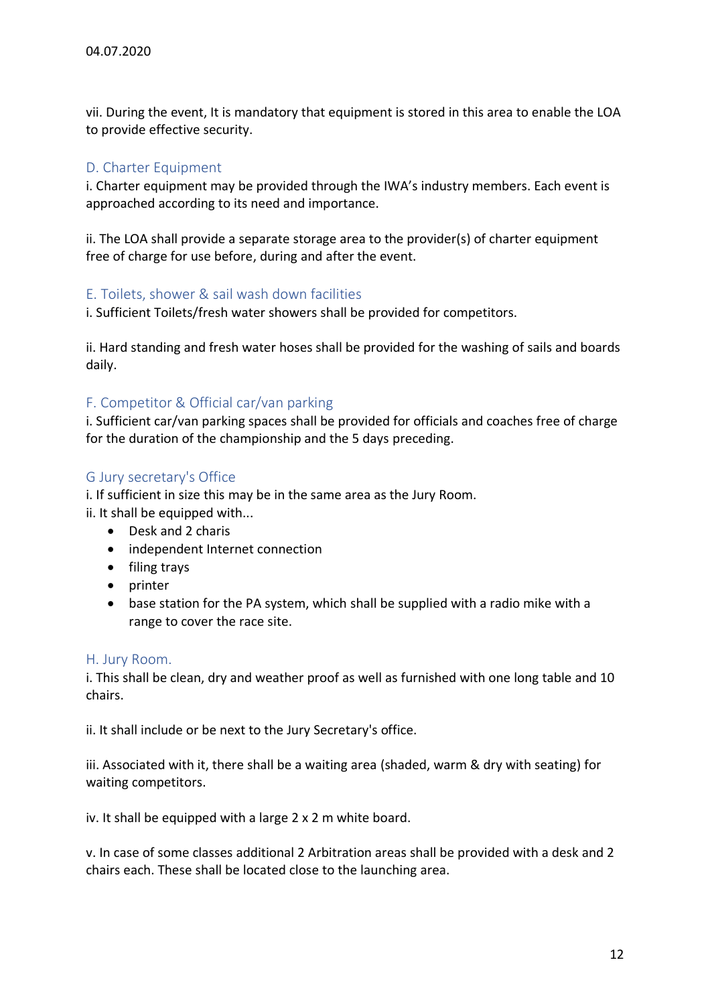vii. During the event, It is mandatory that equipment is stored in this area to enable the LOA to provide effective security.

# <span id="page-11-0"></span>D. Charter Equipment

i. Charter equipment may be provided through the IWA's industry members. Each event is approached according to its need and importance.

ii. The LOA shall provide a separate storage area to the provider(s) of charter equipment free of charge for use before, during and after the event.

# <span id="page-11-1"></span>E. Toilets, shower & sail wash down facilities

i. Sufficient Toilets/fresh water showers shall be provided for competitors.

ii. Hard standing and fresh water hoses shall be provided for the washing of sails and boards daily.

# <span id="page-11-2"></span>F. Competitor & Official car/van parking

i. Sufficient car/van parking spaces shall be provided for officials and coaches free of charge for the duration of the championship and the 5 days preceding.

# <span id="page-11-3"></span>G Jury secretary's Office

i. If sufficient in size this may be in the same area as the Jury Room.

- ii. It shall be equipped with...
	- Desk and 2 charis
	- independent Internet connection
	- filing trays
	- printer
	- base station for the PA system, which shall be supplied with a radio mike with a range to cover the race site.

# <span id="page-11-4"></span>H. Jury Room.

i. This shall be clean, dry and weather proof as well as furnished with one long table and 10 chairs.

ii. It shall include or be next to the Jury Secretary's office.

iii. Associated with it, there shall be a waiting area (shaded, warm & dry with seating) for waiting competitors.

iv. It shall be equipped with a large 2 x 2 m white board.

v. In case of some classes additional 2 Arbitration areas shall be provided with a desk and 2 chairs each. These shall be located close to the launching area.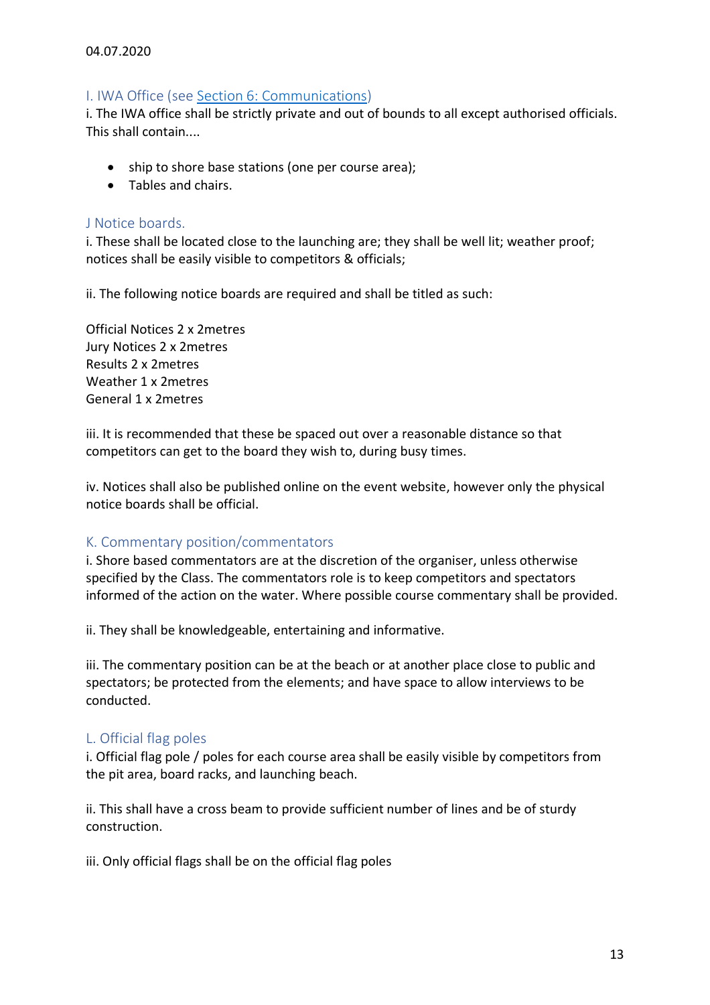#### 04.07.2020

# <span id="page-12-0"></span>I. IWA Office (see [Section 6: Communications\)](#page-3-0)

i. The IWA office shall be strictly private and out of bounds to all except authorised officials. This shall contain....

- ship to shore base stations (one per course area);
- Tables and chairs.

### <span id="page-12-1"></span>J Notice boards.

i. These shall be located close to the launching are; they shall be well lit; weather proof; notices shall be easily visible to competitors & officials;

ii. The following notice boards are required and shall be titled as such:

Official Notices 2 x 2metres Jury Notices 2 x 2metres Results 2 x 2metres Weather 1 x 2metres General 1 x 2metres

iii. It is recommended that these be spaced out over a reasonable distance so that competitors can get to the board they wish to, during busy times.

iv. Notices shall also be published online on the event website, however only the physical notice boards shall be official.

# <span id="page-12-2"></span>K. Commentary position/commentators

i. Shore based commentators are at the discretion of the organiser, unless otherwise specified by the Class. The commentators role is to keep competitors and spectators informed of the action on the water. Where possible course commentary shall be provided.

ii. They shall be knowledgeable, entertaining and informative.

iii. The commentary position can be at the beach or at another place close to public and spectators; be protected from the elements; and have space to allow interviews to be conducted.

# <span id="page-12-3"></span>L. Official flag poles

i. Official flag pole / poles for each course area shall be easily visible by competitors from the pit area, board racks, and launching beach.

ii. This shall have a cross beam to provide sufficient number of lines and be of sturdy construction.

iii. Only official flags shall be on the official flag poles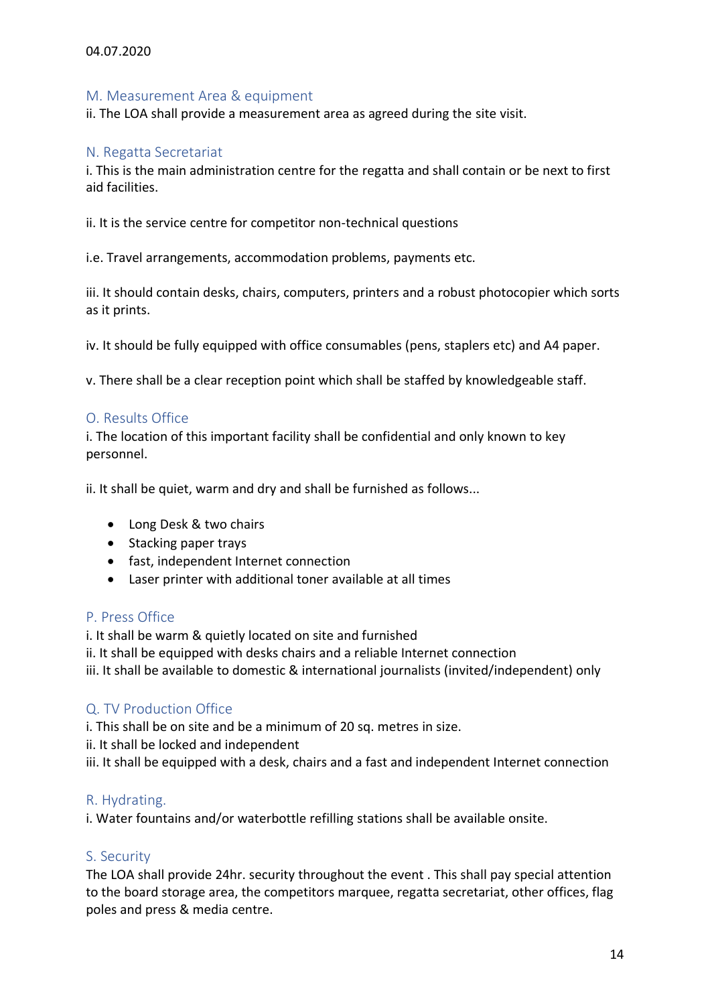### <span id="page-13-0"></span>M. Measurement Area & equipment

ii. The LOA shall provide a measurement area as agreed during the site visit.

#### <span id="page-13-1"></span>N. Regatta Secretariat

i. This is the main administration centre for the regatta and shall contain or be next to first aid facilities.

ii. It is the service centre for competitor non-technical questions

i.e. Travel arrangements, accommodation problems, payments etc.

iii. It should contain desks, chairs, computers, printers and a robust photocopier which sorts as it prints.

iv. It should be fully equipped with office consumables (pens, staplers etc) and A4 paper.

v. There shall be a clear reception point which shall be staffed by knowledgeable staff.

#### <span id="page-13-2"></span>O. Results Office

i. The location of this important facility shall be confidential and only known to key personnel.

ii. It shall be quiet, warm and dry and shall be furnished as follows...

- Long Desk & two chairs
- Stacking paper trays
- fast, independent Internet connection
- Laser printer with additional toner available at all times

#### <span id="page-13-3"></span>P. Press Office

i. It shall be warm & quietly located on site and furnished

ii. It shall be equipped with desks chairs and a reliable Internet connection

iii. It shall be available to domestic & international journalists (invited/independent) only

# <span id="page-13-4"></span>Q. TV Production Office

i. This shall be on site and be a minimum of 20 sq. metres in size.

ii. It shall be locked and independent

iii. It shall be equipped with a desk, chairs and a fast and independent Internet connection

#### <span id="page-13-5"></span>R. Hydrating.

i. Water fountains and/or waterbottle refilling stations shall be available onsite.

#### <span id="page-13-6"></span>S. Security

The LOA shall provide 24hr. security throughout the event . This shall pay special attention to the board storage area, the competitors marquee, regatta secretariat, other offices, flag poles and press & media centre.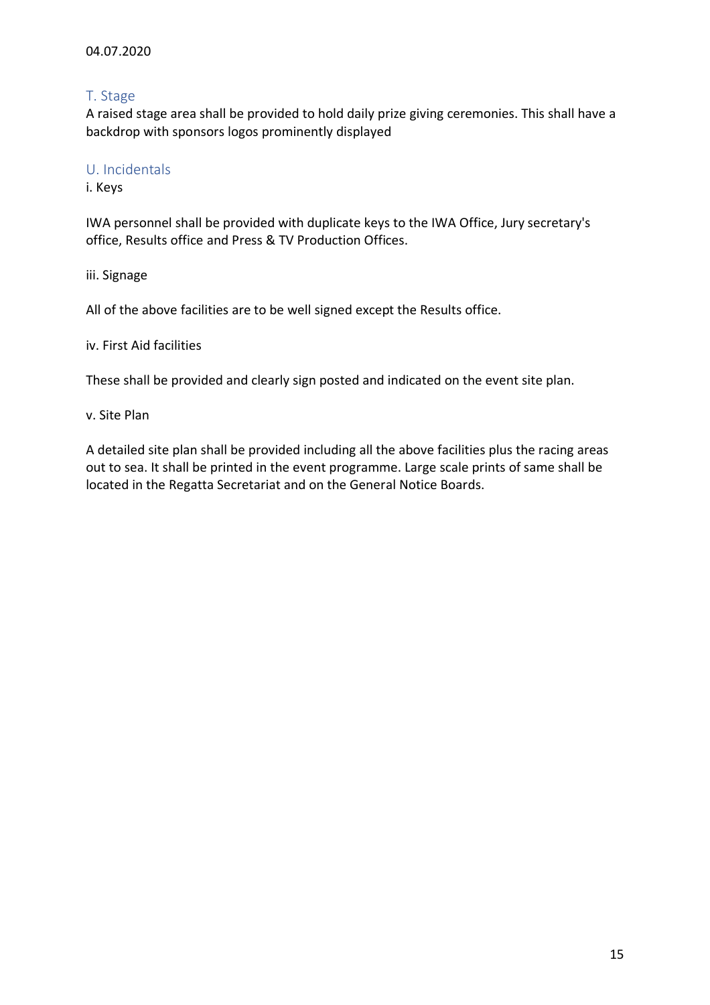# <span id="page-14-0"></span>T. Stage

A raised stage area shall be provided to hold daily prize giving ceremonies. This shall have a backdrop with sponsors logos prominently displayed

### <span id="page-14-1"></span>U. Incidentals

i. Keys

IWA personnel shall be provided with duplicate keys to the IWA Office, Jury secretary's office, Results office and Press & TV Production Offices.

iii. Signage

All of the above facilities are to be well signed except the Results office.

iv. First Aid facilities

These shall be provided and clearly sign posted and indicated on the event site plan.

v. Site Plan

A detailed site plan shall be provided including all the above facilities plus the racing areas out to sea. It shall be printed in the event programme. Large scale prints of same shall be located in the Regatta Secretariat and on the General Notice Boards.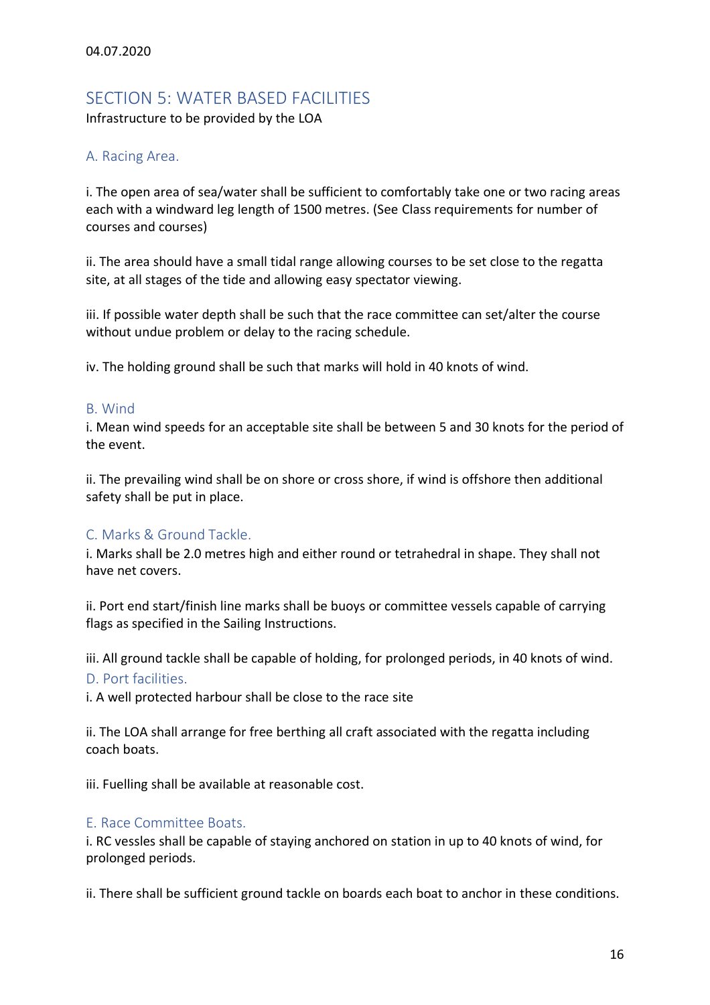# <span id="page-15-0"></span>SECTION 5: WATER BASED FACILITIES

Infrastructure to be provided by the LOA

# <span id="page-15-1"></span>A. Racing Area.

i. The open area of sea/water shall be sufficient to comfortably take one or two racing areas each with a windward leg length of 1500 metres. (See Class requirements for number of courses and courses)

ii. The area should have a small tidal range allowing courses to be set close to the regatta site, at all stages of the tide and allowing easy spectator viewing.

iii. If possible water depth shall be such that the race committee can set/alter the course without undue problem or delay to the racing schedule.

iv. The holding ground shall be such that marks will hold in 40 knots of wind.

#### <span id="page-15-2"></span>B. Wind

i. Mean wind speeds for an acceptable site shall be between 5 and 30 knots for the period of the event.

ii. The prevailing wind shall be on shore or cross shore, if wind is offshore then additional safety shall be put in place.

# <span id="page-15-3"></span>C. Marks & Ground Tackle.

i. Marks shall be 2.0 metres high and either round or tetrahedral in shape. They shall not have net covers.

ii. Port end start/finish line marks shall be buoys or committee vessels capable of carrying flags as specified in the Sailing Instructions.

<span id="page-15-4"></span>iii. All ground tackle shall be capable of holding, for prolonged periods, in 40 knots of wind. D. Port facilities.

i. A well protected harbour shall be close to the race site

ii. The LOA shall arrange for free berthing all craft associated with the regatta including coach boats.

iii. Fuelling shall be available at reasonable cost.

# <span id="page-15-5"></span>E. Race Committee Boats.

i. RC vessles shall be capable of staying anchored on station in up to 40 knots of wind, for prolonged periods.

ii. There shall be sufficient ground tackle on boards each boat to anchor in these conditions.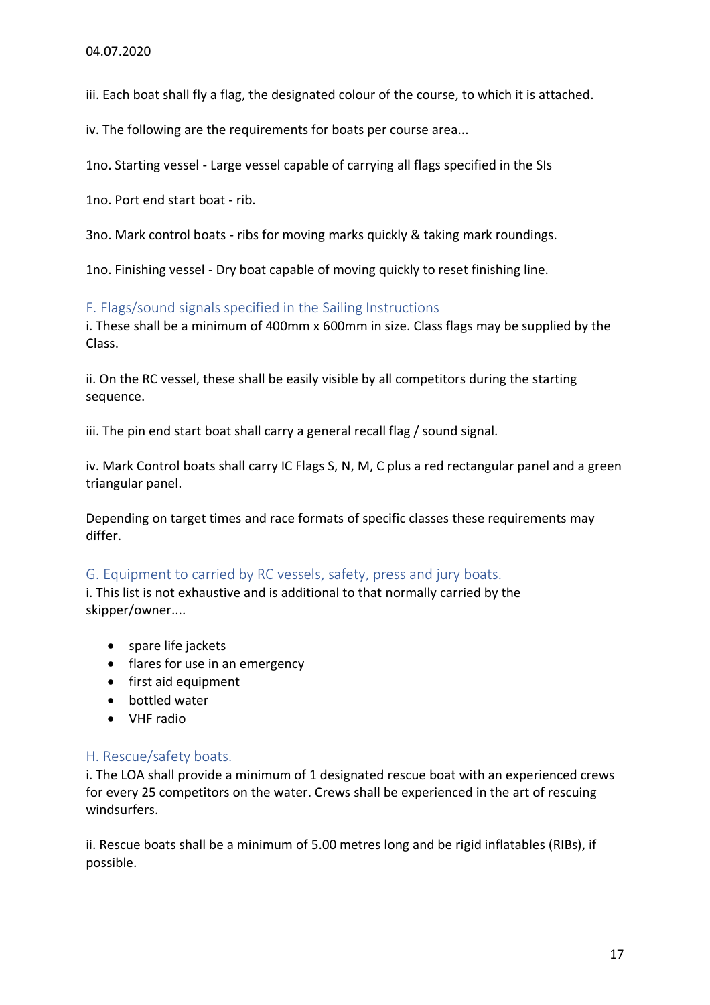iii. Each boat shall fly a flag, the designated colour of the course, to which it is attached.

iv. The following are the requirements for boats per course area...

1no. Starting vessel - Large vessel capable of carrying all flags specified in the SIs

1no. Port end start boat - rib.

3no. Mark control boats - ribs for moving marks quickly & taking mark roundings.

1no. Finishing vessel - Dry boat capable of moving quickly to reset finishing line.

<span id="page-16-0"></span>F. Flags/sound signals specified in the Sailing Instructions

i. These shall be a minimum of 400mm x 600mm in size. Class flags may be supplied by the Class.

ii. On the RC vessel, these shall be easily visible by all competitors during the starting sequence.

iii. The pin end start boat shall carry a general recall flag / sound signal.

iv. Mark Control boats shall carry IC Flags S, N, M, C plus a red rectangular panel and a green triangular panel.

Depending on target times and race formats of specific classes these requirements may differ.

# <span id="page-16-1"></span>G. Equipment to carried by RC vessels, safety, press and jury boats.

i. This list is not exhaustive and is additional to that normally carried by the skipper/owner....

- spare life jackets
- flares for use in an emergency
- first aid equipment
- bottled water
- VHF radio

# <span id="page-16-2"></span>H. Rescue/safety boats.

i. The LOA shall provide a minimum of 1 designated rescue boat with an experienced crews for every 25 competitors on the water. Crews shall be experienced in the art of rescuing windsurfers.

ii. Rescue boats shall be a minimum of 5.00 metres long and be rigid inflatables (RIBs), if possible.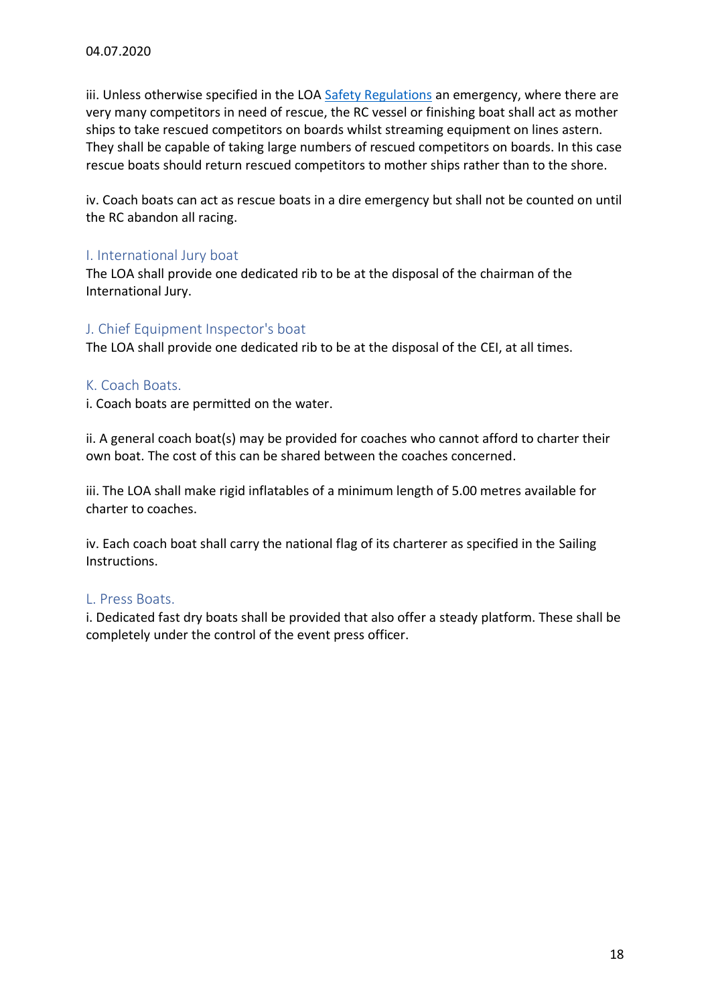iii. Unless otherwise specified in the LOA [Safety Regulations](#page-26-1) an emergency, where there are very many competitors in need of rescue, the RC vessel or finishing boat shall act as mother ships to take rescued competitors on boards whilst streaming equipment on lines astern. They shall be capable of taking large numbers of rescued competitors on boards. In this case rescue boats should return rescued competitors to mother ships rather than to the shore.

iv. Coach boats can act as rescue boats in a dire emergency but shall not be counted on until the RC abandon all racing.

# <span id="page-17-0"></span>I. International Jury boat

The LOA shall provide one dedicated rib to be at the disposal of the chairman of the International Jury.

# <span id="page-17-1"></span>J. Chief Equipment Inspector's boat

The LOA shall provide one dedicated rib to be at the disposal of the CEI, at all times.

#### <span id="page-17-2"></span>K. Coach Boats.

i. Coach boats are permitted on the water.

ii. A general coach boat(s) may be provided for coaches who cannot afford to charter their own boat. The cost of this can be shared between the coaches concerned.

iii. The LOA shall make rigid inflatables of a minimum length of 5.00 metres available for charter to coaches.

iv. Each coach boat shall carry the national flag of its charterer as specified in the Sailing Instructions.

#### <span id="page-17-3"></span>L. Press Boats.

i. Dedicated fast dry boats shall be provided that also offer a steady platform. These shall be completely under the control of the event press officer.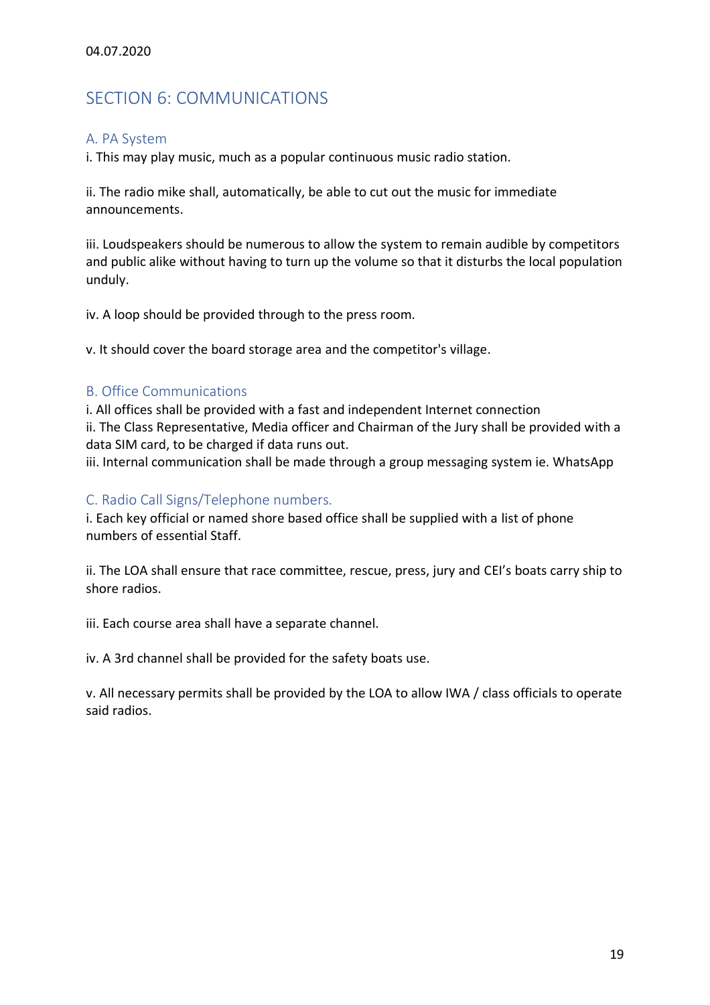# <span id="page-18-0"></span>SECTION 6: COMMUNICATIONS

### <span id="page-18-1"></span>A. PA System

i. This may play music, much as a popular continuous music radio station.

ii. The radio mike shall, automatically, be able to cut out the music for immediate announcements.

iii. Loudspeakers should be numerous to allow the system to remain audible by competitors and public alike without having to turn up the volume so that it disturbs the local population unduly.

iv. A loop should be provided through to the press room.

v. It should cover the board storage area and the competitor's village.

# <span id="page-18-2"></span>B. Office Communications

i. All offices shall be provided with a fast and independent Internet connection ii. The Class Representative, Media officer and Chairman of the Jury shall be provided with a data SIM card, to be charged if data runs out.

iii. Internal communication shall be made through a group messaging system ie. WhatsApp

### <span id="page-18-3"></span>C. Radio Call Signs/Telephone numbers.

i. Each key official or named shore based office shall be supplied with a list of phone numbers of essential Staff.

ii. The LOA shall ensure that race committee, rescue, press, jury and CEI's boats carry ship to shore radios.

iii. Each course area shall have a separate channel.

iv. A 3rd channel shall be provided for the safety boats use.

v. All necessary permits shall be provided by the LOA to allow IWA / class officials to operate said radios.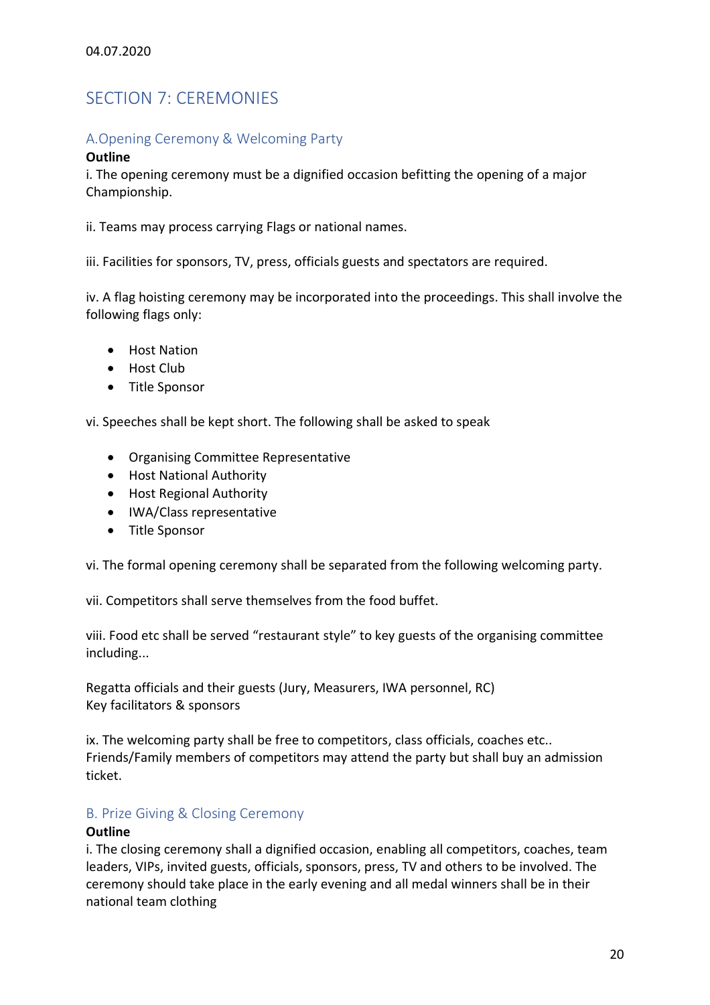# <span id="page-19-0"></span>SECTION 7: CEREMONIES

# <span id="page-19-1"></span>A.Opening Ceremony & Welcoming Party

#### **Outline**

i. The opening ceremony must be a dignified occasion befitting the opening of a major Championship.

ii. Teams may process carrying Flags or national names.

iii. Facilities for sponsors, TV, press, officials guests and spectators are required.

iv. A flag hoisting ceremony may be incorporated into the proceedings. This shall involve the following flags only:

- Host Nation
- Host Club
- Title Sponsor

vi. Speeches shall be kept short. The following shall be asked to speak

- Organising Committee Representative
- Host National Authority
- Host Regional Authority
- IWA/Class representative
- Title Sponsor

vi. The formal opening ceremony shall be separated from the following welcoming party.

vii. Competitors shall serve themselves from the food buffet.

viii. Food etc shall be served "restaurant style" to key guests of the organising committee including...

Regatta officials and their guests (Jury, Measurers, IWA personnel, RC) Key facilitators & sponsors

ix. The welcoming party shall be free to competitors, class officials, coaches etc.. Friends/Family members of competitors may attend the party but shall buy an admission ticket.

# <span id="page-19-2"></span>B. Prize Giving & Closing Ceremony

#### **Outline**

i. The closing ceremony shall a dignified occasion, enabling all competitors, coaches, team leaders, VIPs, invited guests, officials, sponsors, press, TV and others to be involved. The ceremony should take place in the early evening and all medal winners shall be in their national team clothing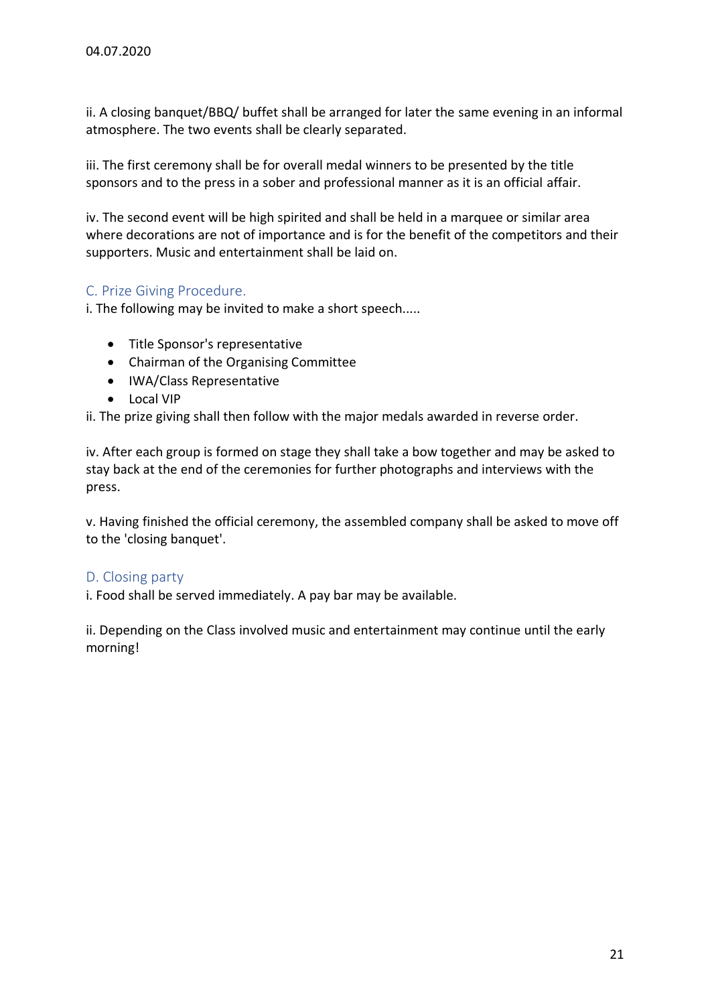ii. A closing banquet/BBQ/ buffet shall be arranged for later the same evening in an informal atmosphere. The two events shall be clearly separated.

iii. The first ceremony shall be for overall medal winners to be presented by the title sponsors and to the press in a sober and professional manner as it is an official affair.

iv. The second event will be high spirited and shall be held in a marquee or similar area where decorations are not of importance and is for the benefit of the competitors and their supporters. Music and entertainment shall be laid on.

# <span id="page-20-0"></span>C. Prize Giving Procedure.

i. The following may be invited to make a short speech.....

- Title Sponsor's representative
- Chairman of the Organising Committee
- IWA/Class Representative
- Local VIP

ii. The prize giving shall then follow with the major medals awarded in reverse order.

iv. After each group is formed on stage they shall take a bow together and may be asked to stay back at the end of the ceremonies for further photographs and interviews with the press.

v. Having finished the official ceremony, the assembled company shall be asked to move off to the 'closing banquet'.

# <span id="page-20-1"></span>D. Closing party

i. Food shall be served immediately. A pay bar may be available.

ii. Depending on the Class involved music and entertainment may continue until the early morning!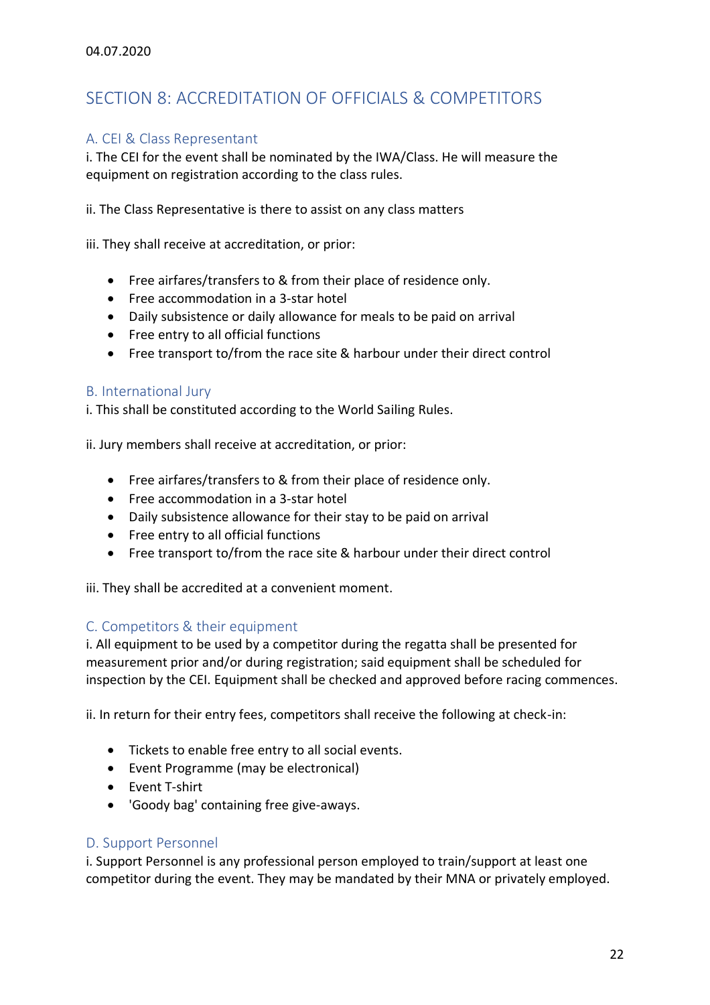# <span id="page-21-0"></span>SECTION 8: ACCREDITATION OF OFFICIALS & COMPETITORS

# <span id="page-21-1"></span>A. CEI & Class Representant

i. The CEI for the event shall be nominated by the IWA/Class. He will measure the equipment on registration according to the class rules.

ii. The Class Representative is there to assist on any class matters

iii. They shall receive at accreditation, or prior:

- Free airfares/transfers to & from their place of residence only.
- Free accommodation in a 3-star hotel
- Daily subsistence or daily allowance for meals to be paid on arrival
- Free entry to all official functions
- Free transport to/from the race site & harbour under their direct control

# <span id="page-21-2"></span>B. International Jury

i. This shall be constituted according to the World Sailing Rules.

ii. Jury members shall receive at accreditation, or prior:

- Free airfares/transfers to & from their place of residence only.
- Free accommodation in a 3-star hotel
- Daily subsistence allowance for their stay to be paid on arrival
- Free entry to all official functions
- Free transport to/from the race site & harbour under their direct control

iii. They shall be accredited at a convenient moment.

# <span id="page-21-3"></span>C. Competitors & their equipment

i. All equipment to be used by a competitor during the regatta shall be presented for measurement prior and/or during registration; said equipment shall be scheduled for inspection by the CEI. Equipment shall be checked and approved before racing commences.

ii. In return for their entry fees, competitors shall receive the following at check-in:

- Tickets to enable free entry to all social events.
- Event Programme (may be electronical)
- Event T-shirt
- 'Goody bag' containing free give-aways.

#### <span id="page-21-4"></span>D. Support Personnel

i. Support Personnel is any professional person employed to train/support at least one competitor during the event. They may be mandated by their MNA or privately employed.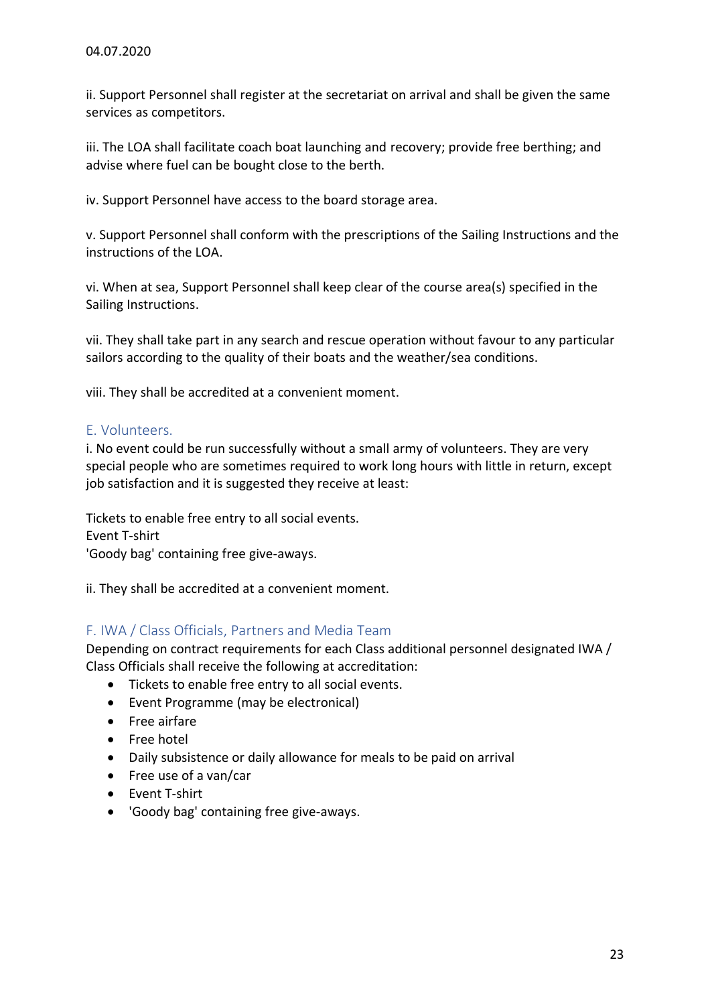ii. Support Personnel shall register at the secretariat on arrival and shall be given the same services as competitors.

iii. The LOA shall facilitate coach boat launching and recovery; provide free berthing; and advise where fuel can be bought close to the berth.

iv. Support Personnel have access to the board storage area.

v. Support Personnel shall conform with the prescriptions of the Sailing Instructions and the instructions of the LOA.

vi. When at sea, Support Personnel shall keep clear of the course area(s) specified in the Sailing Instructions.

vii. They shall take part in any search and rescue operation without favour to any particular sailors according to the quality of their boats and the weather/sea conditions.

viii. They shall be accredited at a convenient moment.

### <span id="page-22-0"></span>E. Volunteers.

i. No event could be run successfully without a small army of volunteers. They are very special people who are sometimes required to work long hours with little in return, except job satisfaction and it is suggested they receive at least:

Tickets to enable free entry to all social events. Event T-shirt 'Goody bag' containing free give-aways.

ii. They shall be accredited at a convenient moment.

# <span id="page-22-1"></span>F. IWA / Class Officials, Partners and Media Team

Depending on contract requirements for each Class additional personnel designated IWA / Class Officials shall receive the following at accreditation:

- Tickets to enable free entry to all social events.
- Event Programme (may be electronical)
- Free airfare
- Free hotel
- Daily subsistence or daily allowance for meals to be paid on arrival
- Free use of a van/car
- Event T-shirt
- 'Goody bag' containing free give-aways.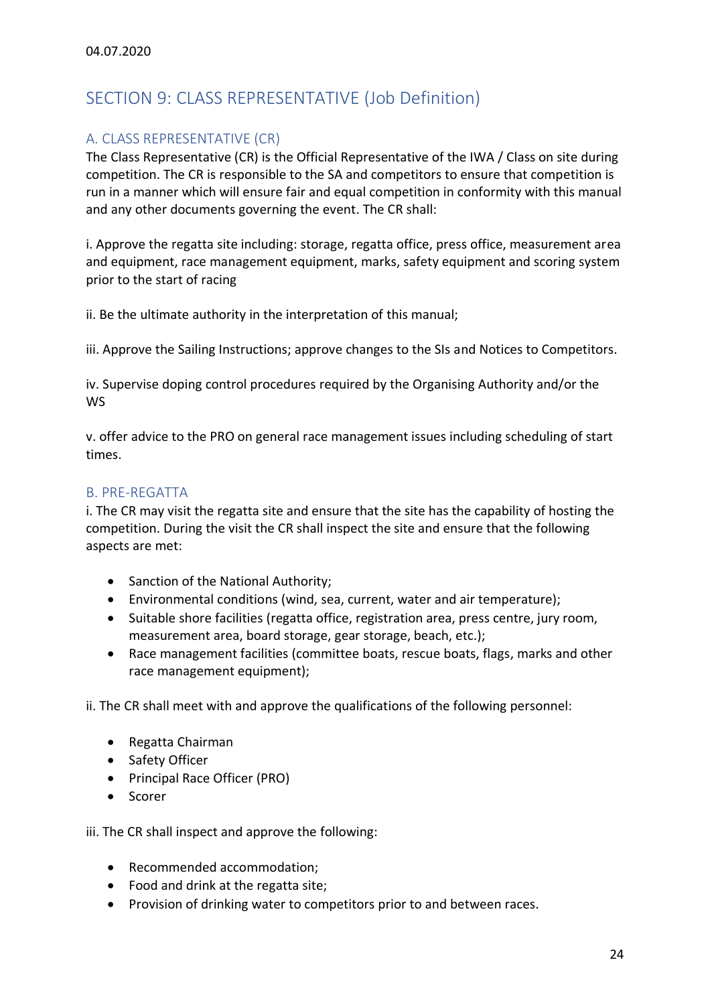# <span id="page-23-0"></span>SECTION 9: CLASS REPRESENTATIVE (Job Definition)

# <span id="page-23-1"></span>A. CLASS REPRESENTATIVE (CR)

The Class Representative (CR) is the Official Representative of the IWA / Class on site during competition. The CR is responsible to the SA and competitors to ensure that competition is run in a manner which will ensure fair and equal competition in conformity with this manual and any other documents governing the event. The CR shall:

i. Approve the regatta site including: storage, regatta office, press office, measurement area and equipment, race management equipment, marks, safety equipment and scoring system prior to the start of racing

ii. Be the ultimate authority in the interpretation of this manual;

iii. Approve the Sailing Instructions; approve changes to the SIs and Notices to Competitors.

iv. Supervise doping control procedures required by the Organising Authority and/or the WS

v. offer advice to the PRO on general race management issues including scheduling of start times.

# <span id="page-23-2"></span>B. PRE-REGATTA

i. The CR may visit the regatta site and ensure that the site has the capability of hosting the competition. During the visit the CR shall inspect the site and ensure that the following aspects are met:

- Sanction of the National Authority;
- Environmental conditions (wind, sea, current, water and air temperature);
- Suitable shore facilities (regatta office, registration area, press centre, jury room, measurement area, board storage, gear storage, beach, etc.);
- Race management facilities (committee boats, rescue boats, flags, marks and other race management equipment);

ii. The CR shall meet with and approve the qualifications of the following personnel:

- Regatta Chairman
- Safety Officer
- Principal Race Officer (PRO)
- Scorer

iii. The CR shall inspect and approve the following:

- Recommended accommodation;
- Food and drink at the regatta site;
- Provision of drinking water to competitors prior to and between races.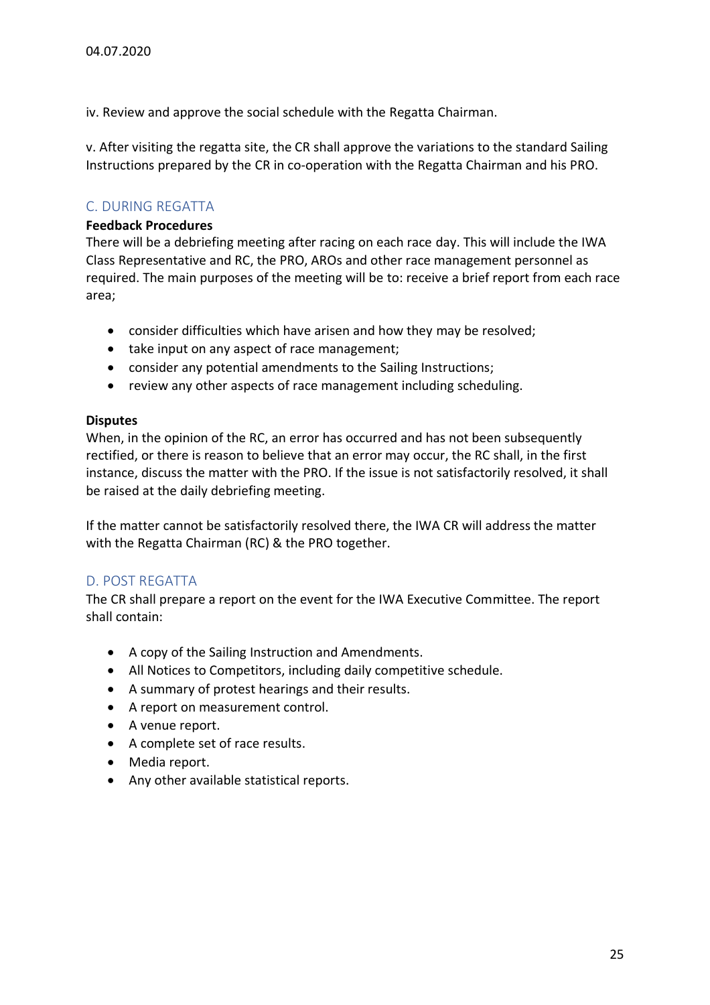iv. Review and approve the social schedule with the Regatta Chairman.

v. After visiting the regatta site, the CR shall approve the variations to the standard Sailing Instructions prepared by the CR in co-operation with the Regatta Chairman and his PRO.

# <span id="page-24-0"></span>C. DURING REGATTA

#### **Feedback Procedures**

There will be a debriefing meeting after racing on each race day. This will include the IWA Class Representative and RC, the PRO, AROs and other race management personnel as required. The main purposes of the meeting will be to: receive a brief report from each race area;

- consider difficulties which have arisen and how they may be resolved;
- take input on any aspect of race management;
- consider any potential amendments to the Sailing Instructions;
- review any other aspects of race management including scheduling.

#### **Disputes**

When, in the opinion of the RC, an error has occurred and has not been subsequently rectified, or there is reason to believe that an error may occur, the RC shall, in the first instance, discuss the matter with the PRO. If the issue is not satisfactorily resolved, it shall be raised at the daily debriefing meeting.

If the matter cannot be satisfactorily resolved there, the IWA CR will address the matter with the Regatta Chairman (RC) & the PRO together.

# <span id="page-24-1"></span>D. POST REGATTA

The CR shall prepare a report on the event for the IWA Executive Committee. The report shall contain:

- A copy of the Sailing Instruction and Amendments.
- All Notices to Competitors, including daily competitive schedule.
- A summary of protest hearings and their results.
- A report on measurement control.
- A venue report.
- A complete set of race results.
- Media report.
- Any other available statistical reports.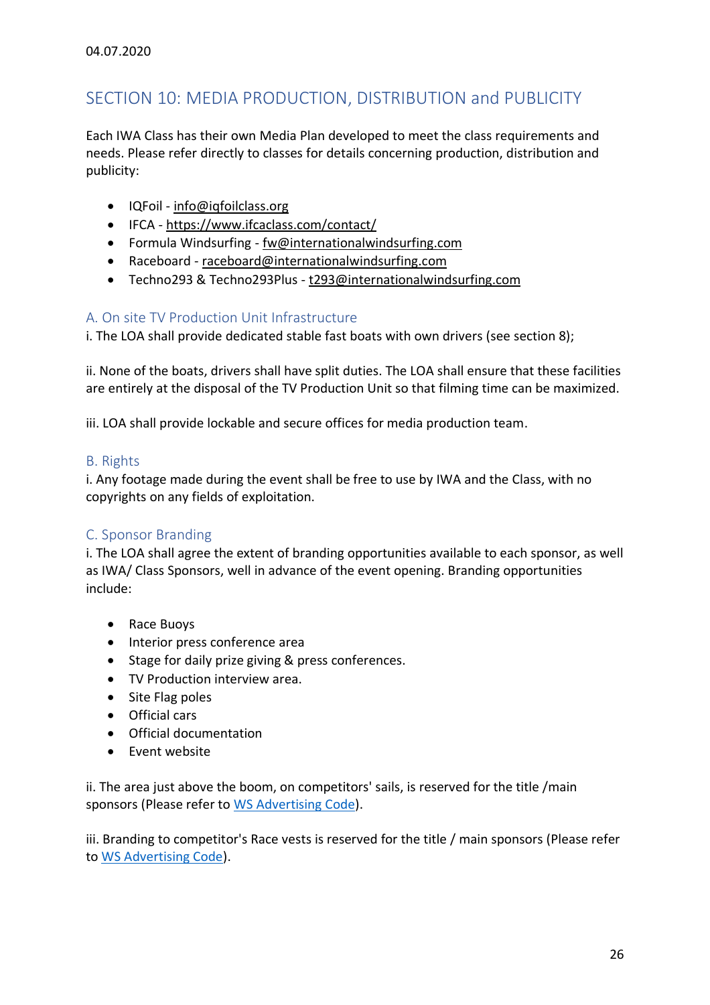# <span id="page-25-0"></span>SECTION 10: MEDIA PRODUCTION, DISTRIBUTION and PUBLICITY

Each IWA Class has their own Media Plan developed to meet the class requirements and needs. Please refer directly to classes for details concerning production, distribution and publicity:

- IQFoil [info@iqfoilclass.org](mailto:info@iqfoilclass.org)
- IFCA <https://www.ifcaclass.com/contact/>
- Formula Windsurfing [fw@internationalwindsurfing.com](mailto:fw@internationalwindsurfing.com)
- Raceboard [raceboard@internationalwindsurfing.com](mailto:raceboard@internationalwindsurfing.com)
- Techno293 & Techno293Plus [t293@internationalwindsurfing.com](mailto:t293@internationalwindsurfing.com)

# <span id="page-25-1"></span>A. On site TV Production Unit Infrastructure

i. The LOA shall provide dedicated stable fast boats with own drivers (see section 8);

ii. None of the boats, drivers shall have split duties. The LOA shall ensure that these facilities are entirely at the disposal of the TV Production Unit so that filming time can be maximized.

iii. LOA shall provide lockable and secure offices for media production team.

# <span id="page-25-2"></span>B. Rights

i. Any footage made during the event shall be free to use by IWA and the Class, with no copyrights on any fields of exploitation.

# <span id="page-25-3"></span>C. Sponsor Branding

i. The LOA shall agree the extent of branding opportunities available to each sponsor, as well as IWA/ Class Sponsors, well in advance of the event opening. Branding opportunities include:

- Race Buoys
- Interior press conference area
- Stage for daily prize giving & press conferences.
- TV Production interview area.
- Site Flag poles
- Official cars
- Official documentation
- Event website

ii. The area just above the boom, on competitors' sails, is reserved for the title /main sponsors (Please refer to [WS Advertising Code\)](https://www.sailing.org/documents/regulations/regulations.php).

iii. Branding to competitor's Race vests is reserved for the title / main sponsors (Please refer to [WS Advertising Code\)](https://www.sailing.org/documents/regulations/regulations.php).